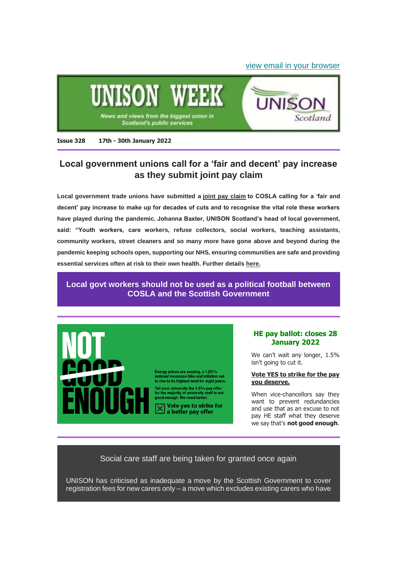#### [view email in your browser](https://mailchi.mp/f1b227dd9b12/unison-week-328-local-govt-pay-claim-ovo-threats-he-ballot-more?e=6345b859c4)



**Issue 328 17th - 30th January 2022**

# **Local government unions call for a 'fair and decent' pay increase as they submit joint pay claim**

**Local government trade unions have submitted a [joint pay claim](https://unison-scotland.org/wp-content/uploads/SJC-Pay-Claim-2022.pdf) to COSLA calling for a 'fair and decent' pay increase to make up for decades of cuts and to recognise the vital role these workers have played during the pandemic. Johanna Baxter, UNISON Scotland's head of local government, said: "Youth workers, care workers, refuse collectors, social workers, teaching assistants, community workers, street cleaners and so many more have gone above and beyond during the pandemic keeping schools open, supporting our NHS, ensuring communities are safe and providing essential services often at risk to their own health. Further details [here.](https://unison-scotland.org/local-government-unions-call-for-a-fair-and-decent-pay-increase-as-they-submit-joint-pay-claim/)**

# **[Local govt workers should not be used as a political football between](https://unison-scotland.org/local-govt-workers-should-not-be-used-as-a-political-football-between-cosla-and-the-scottish-government/)  [COSLA and the Scottish Government](https://unison-scotland.org/local-govt-workers-should-not-be-used-as-a-political-football-between-cosla-and-the-scottish-government/)**



Energy prices are soaring, a 1.25%<br>national insurance hike and inflation set<br>to rise to its highest level for eight years.

Tell your university the 1.5% pay offer<br>for the majority of university staff is not<br>good enough. We need better.

 $\overline{\mathsf{X}}$  Vote yes to strike<br>a better pay offer Vote yes to strike for

#### **HE pay ballot: closes 28 January 2022**

We can't wait any longer, 1.5% isn't going to cut it.

#### **[Vote YES to strike for the pay](https://www.unison.org.uk/at-work/education-services/about/higher-education/he-pay-2021/)  [you deserve.](https://www.unison.org.uk/at-work/education-services/about/higher-education/he-pay-2021/)**

When vice-chancellors say they want to prevent redundancies and use that as an excuse to not pay HE staff what they deserve we say that's **not good enough**.

## Social care staff are being taken for granted once again

UNISON has criticised as inadequate a move by the Scottish Government to cover registration fees for new carers only - a move which excludes existing carers who have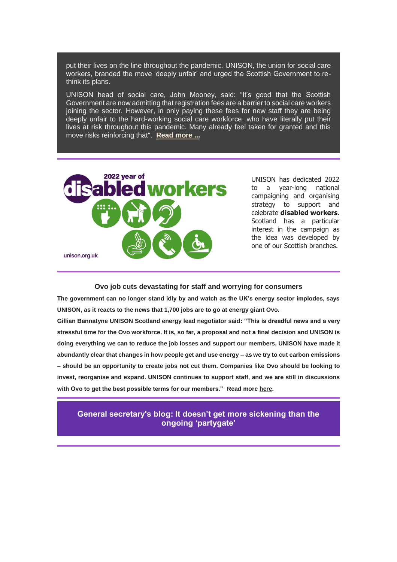put their lives on the line throughout the pandemic. UNISON, the union for social care workers, branded the move 'deeply unfair' and urged the Scottish Government to rethink its plans.

UNISON head of social care, John Mooney, said: "It's good that the Scottish Government are now admitting that registration fees are a barrier to social care workers joining the sector. However, in only paying these fees for new staff they are being deeply unfair to the hard-working social care workforce, who have literally put their lives at risk throughout this pandemic. Many already feel taken for granted and this move risks reinforcing that". **[Read more ...](https://unison-scotland.org/social-care-staff-are-being-taken-for-granted-once-again-says-unison/)**



UNISON has dedicated 2022 to a year-long national campaigning and organising strategy to support and celebrate **[disabled workers](https://www.unison.org.uk/news/article/2022/01/introducing-the-year-of-disabled-workers/)**. Scotland has a particular interest in the campaign as the idea was developed by one of our Scottish branches.

#### **Ovo job cuts devastating for staff and worrying for consumers**

**The government can no longer stand idly by and watch as the UK's energy sector implodes, says UNISON, as it reacts to the news that 1,700 jobs are to go at energy giant Ovo.**

**Gillian Bannatyne UNISON Scotland energy lead negotiator said: "This is dreadful news and a very stressful time for the Ovo workforce. It is, so far, a proposal and not a final decision and UNISON is doing everything we can to reduce the job losses and support our members. UNISON have made it abundantly clear that changes in how people get and use energy – as we try to cut carbon emissions – should be an opportunity to create jobs not cut them. Companies like Ovo should be looking to invest, reorganise and expand. UNISON continues to support staff, and we are still in discussions with Ovo to get the best possible terms for our members." Read more [here.](https://unison-scotland.org/ovo-job-cuts-devastating-for-staff-and-worrying-for-consumers-says-unison/)**

**[General secretary's blog: It doesn't get more sickening than the](https://www.unison.org.uk/news/general-secretary-blog/2022/01/blog-it-doesnt-get-more-sickening-than-the-ongoing-partygate/)  [ongoing 'partygate'](https://www.unison.org.uk/news/general-secretary-blog/2022/01/blog-it-doesnt-get-more-sickening-than-the-ongoing-partygate/)**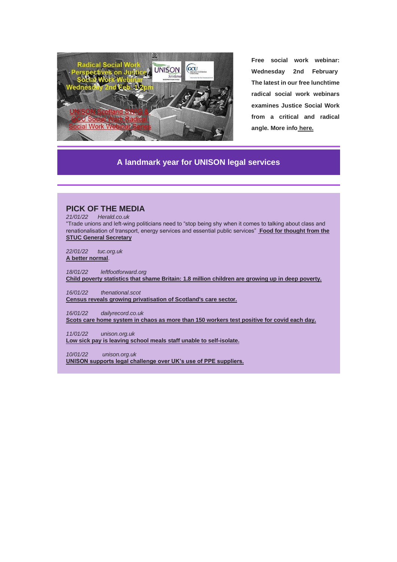

**Free social work webinar: Wednesday 2nd February The latest in our free lunchtime radical social work webinars examines Justice Social Work from a critical and radical angle. More info [here.](https://unison-scotland.org/social-work-webinar-radical-perspectives-on-justice-social-work-in-scotland/)**

## **[A landmark year for UNISON legal services](https://magazine.unison.org.uk/2021/12/07/a-landmark-year-for-our-lawyers/)**

# **PICK OF THE MEDIA** *21/01/22 Herald.co.uk* "Trade unions and left-wing politicians need to "stop being shy when it comes to talking about class and renationalisation of transport, energy services and essential public services" **[Food for thought from the](https://www.heraldscotland.com/politics/19868116.stuc-leader-the-cost-living-will-crush-us----scottish-independence-wont-help/?ref=twtrec)  [STUC General Secretary](https://www.heraldscotland.com/politics/19868116.stuc-leader-the-cost-living-will-crush-us----scottish-independence-wont-help/?ref=twtrec)** *22/01/22 tuc.org.uk* **[A better normal](https://mandrillapp.com/track/click/31129022/www.tuc.org.uk?p=eyJzIjoiT1V4VVlWY3ZUNnBFNTZ1ckJMeHZXSm9CckVBIiwidiI6MSwicCI6IntcInVcIjozMTEyOTAyMixcInZcIjoxLFwidXJsXCI6XCJodHRwczpcXFwvXFxcL3d3dy50dWMub3JnLnVrXFxcL3Jlc2VhcmNoLWFuYWx5c2lzXFxcL3JlcG9ydHNcXFwvYmV0dGVyLW5vcm1hbD9tYWlsdD05MjlAbVFvelRKQU5uWmdYaDBaSFFPRk55UnhqejRtSEJkbzkxNktSWlJlVjlEc0AzOTAxNTZcIixcImlkXCI6XCI4ZWM4N2M1MGRjM2I0NTNiOTYyY2Q1MTYxMjQwNDc3ZlwiLFwidXJsX2lkc1wiOltcImViYzM3Y2Q4Yzk4ODk3MTk0M2Y3ZmMyN2ZjNWFlYTkwMmUyZmIxNjdcIl19In0)**. *18/01/22 leftfootforward.org* **Child poverty statistics that shame Britain: [1.8 million children are growing up in deep poverty.](https://leftfootforward.org/2022/01/uk-poverty-report-1-8-million-children-are-growing-up-in-deep-poverty/?mc_cid=6c59bc0b06&mc_eid=e3db0eb2e7)** *16/01/22 thenational.scot* **[Census reveals growing privatisation of Scotland's care sector.](https://www.thenational.scot/news/health/19851018.census-reveals-growing-privatisation-scotlands-care-sector/)** *16/01/22 dailyrecord.co.uk* **[Scots care home system in chaos as more than 150 workers test positive for covid each day.](https://www.dailyrecord.co.uk/news/scottish-news/scots-care-home-system-chaos-25958154?utm_source=daily_record_newsletter&utm_campaign=daily_newsletter2&utm_medium=email)** *11/01/22 unison.org.uk*

**[Low sick pay is leaving school meals staff unable to self-isolate.](https://www.unison.org.uk/news/article/2022/01/low-sick-pay-is-leaving-school-meals-staff-unable-to-self-isolate/)**

*10/01/22 unison.org.uk*

**[UNISON supports legal challenge over UK's use of PPE suppliers.](https://www.unison.org.uk/news/2022/01/unison-supports-legal-challenge-over-uks-use-of-ppe-suppliers/)**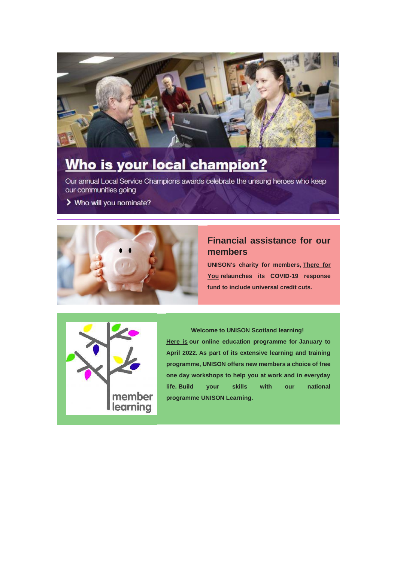

# Who is your local champion?

Our annual Local Service Champions awards celebrate the unsung heroes who keep our communities going

> Who will you nominate?



# **Financial assistance for our members**

**UNISON's charity for members, [There for](https://www.unison.org.uk/news/article/2021/11/there-for-you-offers-new-fund-for-members-facing-winter-hardship/?utm_medium=email&utm_campaign=Staff%20copy%20of%20Activist%20011221&utm_source=Communications&utm_content=There%20for%20You%3A%20COVID%20fund%20relaunched)  [You](https://www.unison.org.uk/news/article/2021/11/there-for-you-offers-new-fund-for-members-facing-winter-hardship/?utm_medium=email&utm_campaign=Staff%20copy%20of%20Activist%20011221&utm_source=Communications&utm_content=There%20for%20You%3A%20COVID%20fund%20relaunched) relaunches its COVID-19 response fund to include universal credit cuts.**



**Welcome to UNISON Scotland learning! [Here is](https://unison-scotland.org/learning/) our online education programme for January to April 2022. As part of its extensive learning and training programme, UNISON offers new members a choice of free one day workshops to help you at work and in everyday life. Build your skills with our national programme [UNISON Learning.](https://learning.unison.org.uk/member-learning/)**